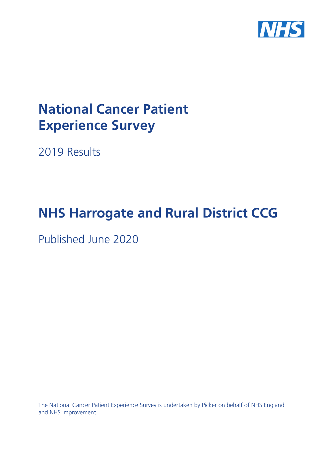

# **National Cancer Patient Experience Survey**

2019 Results

# **NHS Harrogate and Rural District CCG**

Published June 2020

The National Cancer Patient Experience Survey is undertaken by Picker on behalf of NHS England and NHS Improvement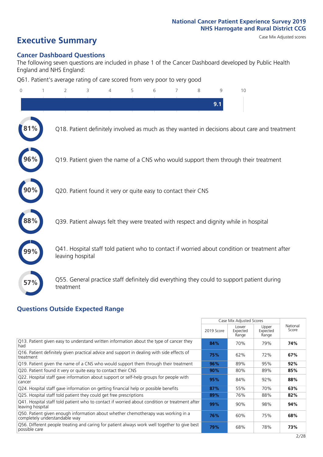# **Executive Summary** Case Mix Adjusted scores

### **Cancer Dashboard Questions**

The following seven questions are included in phase 1 of the Cancer Dashboard developed by Public Health England and NHS England:

Q61. Patient's average rating of care scored from very poor to very good

| $\Omega$ | $\overline{2}$                   | 3                                                             | 5 | 6 | 7 | 8 | 9   | 10                                                                                            |  |
|----------|----------------------------------|---------------------------------------------------------------|---|---|---|---|-----|-----------------------------------------------------------------------------------------------|--|
|          |                                  |                                                               |   |   |   |   | 9.1 |                                                                                               |  |
|          |                                  |                                                               |   |   |   |   |     | Q18. Patient definitely involved as much as they wanted in decisions about care and treatment |  |
| 96%      |                                  |                                                               |   |   |   |   |     | Q19. Patient given the name of a CNS who would support them through their treatment           |  |
|          |                                  | Q20. Patient found it very or quite easy to contact their CNS |   |   |   |   |     |                                                                                               |  |
|          |                                  |                                                               |   |   |   |   |     | Q39. Patient always felt they were treated with respect and dignity while in hospital         |  |
|          | leaving hospital                 |                                                               |   |   |   |   |     | Q41. Hospital staff told patient who to contact if worried about condition or treatment after |  |
| 57%      | treatment                        |                                                               |   |   |   |   |     | Q55. General practice staff definitely did everything they could to support patient during    |  |
|          | Questions Qutside Expected Range |                                                               |   |   |   |   |     |                                                                                               |  |

### **Questions Outside Expected Range**

|                                                                                                                    |            | Case Mix Adjusted Scores   |                            |                   |
|--------------------------------------------------------------------------------------------------------------------|------------|----------------------------|----------------------------|-------------------|
|                                                                                                                    | 2019 Score | Lower<br>Expected<br>Range | Upper<br>Expected<br>Range | National<br>Score |
| Q13. Patient given easy to understand written information about the type of cancer they<br>had                     | 84%        | 70%                        | 79%                        | 74%               |
| Q16. Patient definitely given practical advice and support in dealing with side effects of<br>treatment            | 75%        | 62%                        | 72%                        | 67%               |
| Q19. Patient given the name of a CNS who would support them through their treatment                                | 96%        | 89%                        | 95%                        | 92%               |
| Q20. Patient found it very or quite easy to contact their CNS                                                      | 90%        | 80%                        | 89%                        | 85%               |
| Q22. Hospital staff gave information about support or self-help groups for people with<br>cancer                   | 95%        | 84%                        | 92%                        | 88%               |
| Q24. Hospital staff gave information on getting financial help or possible benefits                                | 87%        | 55%                        | 70%                        | 63%               |
| Q25. Hospital staff told patient they could get free prescriptions                                                 | 89%        | 76%                        | 88%                        | 82%               |
| Q41. Hospital staff told patient who to contact if worried about condition or treatment after<br>leaving hospital  | 99%        | 90%                        | 98%                        | 94%               |
| Q50. Patient given enough information about whether chemotherapy was working in a<br>completely understandable way | 76%        | 60%                        | 75%                        | 68%               |
| Q56. Different people treating and caring for patient always work well together to give best<br>possible care      | 79%        | 68%                        | 78%                        | 73%               |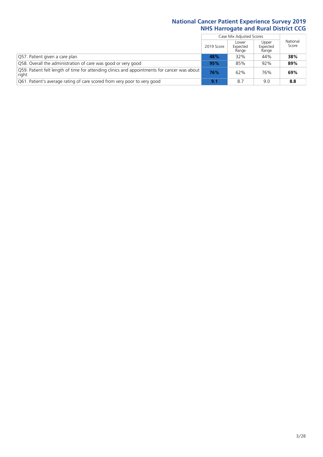$\mathbf{r}$ 

|                                                                                                       |            | Case Mix Adjusted Scores   |                            |                   |
|-------------------------------------------------------------------------------------------------------|------------|----------------------------|----------------------------|-------------------|
|                                                                                                       | 2019 Score | Lower<br>Expected<br>Range | Upper<br>Expected<br>Range | National<br>Score |
| Q57. Patient given a care plan                                                                        | 48%        | 32%                        | 44%                        | 38%               |
| Q58. Overall the administration of care was good or very good                                         | 95%        | 85%                        | 92%                        | 89%               |
| Q59. Patient felt length of time for attending clinics and appointments for cancer was about<br>right | 76%        | 62%                        | 76%                        | 69%               |
| Q61. Patient's average rating of care scored from very poor to very good                              | 9.1        | 8.7                        | 9.0                        | 8.8               |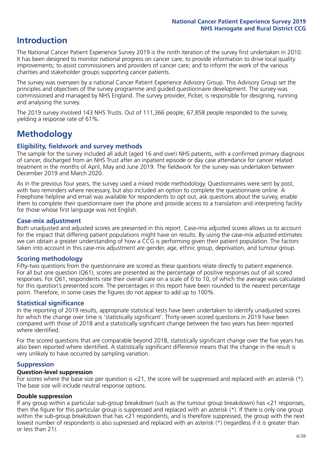## **Introduction**

The National Cancer Patient Experience Survey 2019 is the ninth iteration of the survey first undertaken in 2010. It has been designed to monitor national progress on cancer care; to provide information to drive local quality improvements; to assist commissioners and providers of cancer care; and to inform the work of the various charities and stakeholder groups supporting cancer patients.

The survey was overseen by a national Cancer Patient Experience Advisory Group. This Advisory Group set the principles and objectives of the survey programme and guided questionnaire development. The survey was commissioned and managed by NHS England. The survey provider, Picker, is responsible for designing, running and analysing the survey.

The 2019 survey involved 143 NHS Trusts. Out of 111,366 people, 67,858 people responded to the survey, yielding a response rate of 61%.

# **Methodology**

### **Eligibility, eldwork and survey methods**

The sample for the survey included all adult (aged 16 and over) NHS patients, with a confirmed primary diagnosis of cancer, discharged from an NHS Trust after an inpatient episode or day case attendance for cancer related treatment in the months of April, May and June 2019. The fieldwork for the survey was undertaken between December 2019 and March 2020.

As in the previous four years, the survey used a mixed mode methodology. Questionnaires were sent by post, with two reminders where necessary, but also included an option to complete the questionnaire online. A Freephone helpline and email was available for respondents to opt out, ask questions about the survey, enable them to complete their questionnaire over the phone and provide access to a translation and interpreting facility for those whose first language was not English.

### **Case-mix adjustment**

Both unadjusted and adjusted scores are presented in this report. Case-mix adjusted scores allows us to account for the impact that differing patient populations might have on results. By using the case-mix adjusted estimates we can obtain a greater understanding of how a CCG is performing given their patient population. The factors taken into account in this case-mix adjustment are gender, age, ethnic group, deprivation, and tumour group.

### **Scoring methodology**

Fifty-two questions from the questionnaire are scored as these questions relate directly to patient experience. For all but one question (Q61), scores are presented as the percentage of positive responses out of all scored responses. For Q61, respondents rate their overall care on a scale of 0 to 10, of which the average was calculated for this question's presented score. The percentages in this report have been rounded to the nearest percentage point. Therefore, in some cases the figures do not appear to add up to 100%.

### **Statistical significance**

In the reporting of 2019 results, appropriate statistical tests have been undertaken to identify unadjusted scores for which the change over time is 'statistically significant'. Thirty-seven scored questions in 2019 have been compared with those of 2018 and a statistically significant change between the two years has been reported where identified.

For the scored questions that are comparable beyond 2018, statistically significant change over the five years has also been reported where identified. A statistically significant difference means that the change in the result is very unlikely to have occurred by sampling variation.

### **Suppression**

### **Question-level suppression**

For scores where the base size per question is  $<$ 21, the score will be suppressed and replaced with an asterisk (\*). The base size will include neutral response options.

### **Double suppression**

If any group within a particular sub-group breakdown (such as the tumour group breakdown) has <21 responses, then the figure for this particular group is suppressed and replaced with an asterisk (\*). If there is only one group within the sub-group breakdown that has <21 respondents, and is therefore suppressed, the group with the next lowest number of respondents is also supressed and replaced with an asterisk (\*) (regardless if it is greater than or less than 21).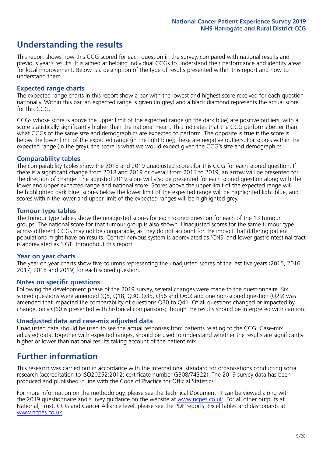## **Understanding the results**

This report shows how this CCG scored for each question in the survey, compared with national results and previous year's results. It is aimed at helping individual CCGs to understand their performance and identify areas for local improvement. Below is a description of the type of results presented within this report and how to understand them.

### **Expected range charts**

The expected range charts in this report show a bar with the lowest and highest score received for each question nationally. Within this bar, an expected range is given (in grey) and a black diamond represents the actual score for this CCG.

CCGs whose score is above the upper limit of the expected range (in the dark blue) are positive outliers, with a score statistically significantly higher than the national mean. This indicates that the CCG performs better than what CCGs of the same size and demographics are expected to perform. The opposite is true if the score is below the lower limit of the expected range (in the light blue); these are negative outliers. For scores within the expected range (in the grey), the score is what we would expect given the CCG's size and demographics.

### **Comparability tables**

The comparability tables show the 2018 and 2019 unadjusted scores for this CCG for each scored question. If there is a significant change from 2018 and 2019 or overall from 2015 to 2019, an arrow will be presented for the direction of change. The adjusted 2019 score will also be presented for each scored question along with the lower and upper expected range and national score. Scores above the upper limit of the expected range will be highlighted dark blue, scores below the lower limit of the expected range will be highlighted light blue, and scores within the lower and upper limit of the expected ranges will be highlighted grey.

### **Tumour type tables**

The tumour type tables show the unadjusted scores for each scored question for each of the 13 tumour groups. The national score for that tumour group is also shown. Unadjusted scores for the same tumour type across different CCGs may not be comparable, as they do not account for the impact that differing patient populations might have on results. Central nervous system is abbreviated as 'CNS' and lower gastrointestinal tract is abbreviated as 'LGT' throughout this report.

### **Year on year charts**

The year on year charts show five columns representing the unadjusted scores of the last five years (2015, 2016, 2017, 2018 and 2019) for each scored question.

### **Notes on specific questions**

Following the development phase of the 2019 survey, several changes were made to the questionnaire. Six scored questions were amended (Q5, Q18, Q30, Q35, Q56 and Q60) and one non-scored question (Q29) was amended that impacted the comparability of questions Q30 to Q41. Of all questions changed or impacted by change, only Q60 is presented with historical comparisons; though the results should be interpreted with caution.

### **Unadjusted data and case-mix adjusted data**

Unadjusted data should be used to see the actual responses from patients relating to the CCG. Case-mix adjusted data, together with expected ranges, should be used to understand whether the results are significantly higher or lower than national results taking account of the patient mix.

### **Further information**

This research was carried out in accordance with the international standard for organisations conducting social research (accreditation to ISO20252:2012; certificate number GB08/74322). The 2019 survey data has been produced and published in line with the Code of Practice for Official Statistics.

For more information on the methodology, please see the Technical Document. It can be viewed along with the 2019 questionnaire and survey quidance on the website at [www.ncpes.co.uk](https://www.ncpes.co.uk/supporting-documents). For all other outputs at National, Trust, CCG and Cancer Alliance level, please see the PDF reports, Excel tables and dashboards at [www.ncpes.co.uk.](https://www.ncpes.co.uk/current-results)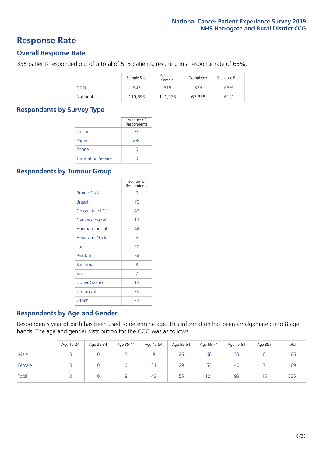### **Response Rate**

### **Overall Response Rate**

335 patients responded out of a total of 515 patients, resulting in a response rate of 65%.

|          | Sample Size | Adjusted<br>Sample | Completed | Response Rate |
|----------|-------------|--------------------|-----------|---------------|
| CCG      | 543         | 515                | 335       | 65%           |
| National | 119,855     | 111,366            | 67,858    | 61%           |

### **Respondents by Survey Type**

|                            | Number of<br>Respondents |
|----------------------------|--------------------------|
| Online                     | 39                       |
| Paper                      | 296                      |
| Phone                      | $\left( \right)$         |
| <b>Translation Service</b> |                          |

### **Respondents by Tumour Group**

|                      | Number of<br>Respondents |
|----------------------|--------------------------|
| <b>Brain / CNS</b>   | ∩                        |
| <b>Breast</b>        | 70                       |
| Colorectal / LGT     | 43                       |
| Gynaecological       | 11                       |
| Haematological       | 44                       |
| <b>Head and Neck</b> | 6                        |
| Lung                 | 20                       |
| Prostate             | 54                       |
| Sarcoma              | 3                        |
| Skin                 | 7                        |
| Upper Gastro         | 14                       |
| Urological           | 39                       |
| Other                | 24                       |

### **Respondents by Age and Gender**

Respondents year of birth has been used to determine age. This information has been amalgamated into 8 age bands. The age and gender distribution for the CCG was as follows:

|        | Age 16-24 | Age 25-34 | Age 35-44 | Age 45-54 | Age 55-64 | Age 65-74 | Age 75-84 | Age 85+ | Total |
|--------|-----------|-----------|-----------|-----------|-----------|-----------|-----------|---------|-------|
| Male   |           |           |           |           | 26        | 68        | 53        |         | 166   |
| Female |           |           |           | 34        | 29        | 53        | 40        |         | 169   |
| Total  |           |           |           | 43        | 55        | 121       | 93        | ל       | 335   |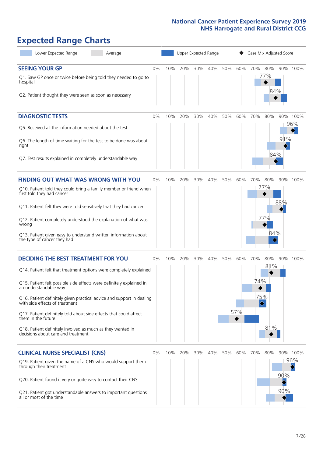# **Expected Range Charts**

| Lower Expected Range<br>Average                                                                                                        |       |     | Upper Expected Range |     |     |     |     | Case Mix Adjusted Score |            |     |          |
|----------------------------------------------------------------------------------------------------------------------------------------|-------|-----|----------------------|-----|-----|-----|-----|-------------------------|------------|-----|----------|
| <b>SEEING YOUR GP</b>                                                                                                                  | 0%    | 10% | 20%                  | 30% | 40% | 50% | 60% | 70%                     | 80%        |     | 90% 100% |
| Q1. Saw GP once or twice before being told they needed to go to<br>hospital<br>Q2. Patient thought they were seen as soon as necessary |       |     |                      |     |     |     |     |                         | 77%<br>84% |     |          |
| <b>DIAGNOSTIC TESTS</b>                                                                                                                | $0\%$ | 10% | 20%                  | 30% | 40% | 50% | 60% | 70%                     | 80%        |     | 90% 100% |
| Q5. Received all the information needed about the test                                                                                 |       |     |                      |     |     |     |     |                         |            |     | 96%      |
| Q6. The length of time waiting for the test to be done was about<br>right                                                              |       |     |                      |     |     |     |     |                         |            | 91% |          |
| Q7. Test results explained in completely understandable way                                                                            |       |     |                      |     |     |     |     |                         | 84%        |     |          |
| <b>FINDING OUT WHAT WAS WRONG WITH YOU</b>                                                                                             | $0\%$ | 10% | 20%                  | 30% | 40% | 50% | 60% | 70%                     | 80%        |     | 90% 100% |
| Q10. Patient told they could bring a family member or friend when<br>first told they had cancer                                        |       |     |                      |     |     |     |     |                         | 77%        |     |          |
| Q11. Patient felt they were told sensitively that they had cancer                                                                      |       |     |                      |     |     |     |     |                         |            | 88% |          |
| Q12. Patient completely understood the explanation of what was<br>wrong                                                                |       |     |                      |     |     |     |     |                         | 77%        |     |          |
| Q13. Patient given easy to understand written information about<br>the type of cancer they had                                         |       |     |                      |     |     |     |     |                         | 84%        |     |          |
| <b>DECIDING THE BEST TREATMENT FOR YOU</b>                                                                                             | 0%    | 10% | 20%                  | 30% | 40% | 50% | 60% | 70%                     | 80%        | 90% | 100%     |
| Q14. Patient felt that treatment options were completely explained                                                                     |       |     |                      |     |     |     |     |                         | 81%        |     |          |
| Q15. Patient felt possible side effects were definitely explained in<br>an understandable way                                          |       |     |                      |     |     |     |     | 74%                     |            |     |          |
| Q16. Patient definitely given practical advice and support in dealing<br>with side effects of treatment                                |       |     |                      |     |     |     |     | 75%<br>♦                |            |     |          |
| Q17. Patient definitely told about side effects that could affect<br>them in the future                                                |       |     |                      |     |     |     | 57% |                         |            |     |          |
| Q18. Patient definitely involved as much as they wanted in<br>decisions about care and treatment                                       |       |     |                      |     |     |     |     |                         | 81%        |     |          |
| <b>CLINICAL NURSE SPECIALIST (CNS)</b>                                                                                                 | 0%    | 10% | 20%                  | 30% | 40% | 50% | 60% | 70%                     | 80%        |     | 90% 100% |
| Q19. Patient given the name of a CNS who would support them<br>through their treatment                                                 |       |     |                      |     |     |     |     |                         |            |     | 96%      |
| Q20. Patient found it very or quite easy to contact their CNS                                                                          |       |     |                      |     |     |     |     |                         |            | 90% |          |
| Q21. Patient got understandable answers to important questions<br>all or most of the time                                              |       |     |                      |     |     |     |     |                         |            | 90% |          |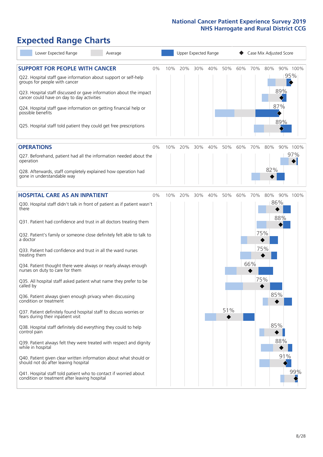# **Expected Range Charts**

| Lower Expected Range<br>Average                                                                                                                                                                                                                                                                                                                                                                                                                                                                                                                                                                                                                                                                                                                                                                                                                                                                                                                                                                                                                                                                                                                                                   |    |     |     |     | Upper Expected Range |            |     |                   |                   | Case Mix Adjusted Score                          |                 |
|-----------------------------------------------------------------------------------------------------------------------------------------------------------------------------------------------------------------------------------------------------------------------------------------------------------------------------------------------------------------------------------------------------------------------------------------------------------------------------------------------------------------------------------------------------------------------------------------------------------------------------------------------------------------------------------------------------------------------------------------------------------------------------------------------------------------------------------------------------------------------------------------------------------------------------------------------------------------------------------------------------------------------------------------------------------------------------------------------------------------------------------------------------------------------------------|----|-----|-----|-----|----------------------|------------|-----|-------------------|-------------------|--------------------------------------------------|-----------------|
| <b>SUPPORT FOR PEOPLE WITH CANCER</b><br>Q22. Hospital staff gave information about support or self-help<br>groups for people with cancer<br>Q23. Hospital staff discussed or gave information about the impact<br>cancer could have on day to day activities<br>Q24. Hospital staff gave information on getting financial help or<br>possible benefits<br>Q25. Hospital staff told patient they could get free prescriptions                                                                                                                                                                                                                                                                                                                                                                                                                                                                                                                                                                                                                                                                                                                                                     | 0% | 10% | 20% | 30% | 40%                  | 50%        | 60% | 70%               | 80%               | 95%<br>$\blacktriangleleft$<br>89%<br>87%<br>89% | 90% 100%        |
| <b>OPERATIONS</b><br>Q27. Beforehand, patient had all the information needed about the<br>operation<br>Q28. Afterwards, staff completely explained how operation had<br>gone in understandable way                                                                                                                                                                                                                                                                                                                                                                                                                                                                                                                                                                                                                                                                                                                                                                                                                                                                                                                                                                                | 0% | 10% | 20% | 30% | 40%                  | 50%        | 60% | 70%               | 80%<br>82%        |                                                  | 90% 100%<br>97% |
| <b>HOSPITAL CARE AS AN INPATIENT</b><br>Q30. Hospital staff didn't talk in front of patient as if patient wasn't<br>there<br>Q31. Patient had confidence and trust in all doctors treating them<br>Q32. Patient's family or someone close definitely felt able to talk to<br>a doctor<br>Q33. Patient had confidence and trust in all the ward nurses<br>treating them<br>Q34. Patient thought there were always or nearly always enough<br>nurses on duty to care for them<br>Q35. All hospital staff asked patient what name they prefer to be<br>called by<br>Q36. Patient always given enough privacy when discussing<br>condition or treatment<br>Q37. Patient definitely found hospital staff to discuss worries or<br>fears during their inpatient visit<br>Q38. Hospital staff definitely did everything they could to help<br>control pain<br>Q39. Patient always felt they were treated with respect and dignity<br>while in hospital<br>Q40. Patient given clear written information about what should or<br>should not do after leaving hospital<br>Q41. Hospital staff told patient who to contact if worried about<br>condition or treatment after leaving hospital | 0% | 10% | 20% | 30% | 40%                  | 50%<br>51% | 60% | 70%<br>66%<br>75% | 80%<br>75%<br>75% | 86%<br>88%<br>85%<br>85%<br>88%<br>91%           | 90% 100%<br>99% |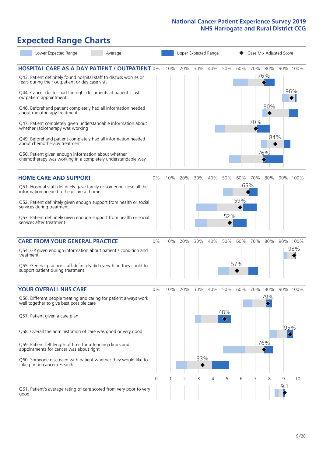# **Expected Range Charts**

| Lower Expected Range<br>Average                                                                                                                                                                                                                                                                      |       |     |     |     | Upper Expected Range |     |     |          | Case Mix Adjusted Score |          |                 |
|------------------------------------------------------------------------------------------------------------------------------------------------------------------------------------------------------------------------------------------------------------------------------------------------------|-------|-----|-----|-----|----------------------|-----|-----|----------|-------------------------|----------|-----------------|
| <b>HOSPITAL CARE AS A DAY PATIENT / OUTPATIENT 0%</b><br>Q43. Patient definitely found hospital staff to discuss worries or<br>fears during their outpatient or day case visit<br>Q44. Cancer doctor had the right documents at patient's last<br>outpatient appointment                             |       | 10% | 20% | 30% | 40%                  | 50% | 60% |          | 70% 80%<br>76%          |          | 90% 100%<br>96% |
| Q46. Beforehand patient completely had all information needed<br>about radiotherapy treatment<br>Q47. Patient completely given understandable information about<br>whether radiotherapy was working<br>Q49. Beforehand patient completely had all information needed<br>about chemotherapy treatment |       |     |     |     |                      |     |     | 70%      | 80%<br>84%              |          |                 |
| Q50. Patient given enough information about whether<br>chemotherapy was working in a completely understandable way                                                                                                                                                                                   |       |     |     |     |                      |     |     |          | 76%                     |          |                 |
| <b>HOME CARE AND SUPPORT</b>                                                                                                                                                                                                                                                                         | 0%    | 10% | 20% | 30% | 40%                  | 50% | 60% | 70%      | 80%                     |          | 90% 100%        |
| Q51. Hospital staff definitely gave family or someone close all the<br>information needed to help care at home                                                                                                                                                                                       |       |     |     |     |                      |     |     | $ 65\% $ |                         |          |                 |
| Q52. Patient definitely given enough support from health or social<br>services during treatment                                                                                                                                                                                                      |       |     |     |     |                      |     | 59% |          |                         |          |                 |
| Q53. Patient definitely given enough support from health or social<br>services after treatment                                                                                                                                                                                                       |       |     |     |     |                      | 52% |     |          |                         |          |                 |
| <b>CARE FROM YOUR GENERAL PRACTICE</b>                                                                                                                                                                                                                                                               | 0%    | 10% | 20% | 30% | 40%                  | 50% | 60% | 70%      | 80%                     |          | 90% 100%        |
| Q54. GP given enough information about patient's condition and<br>treatment                                                                                                                                                                                                                          |       |     |     |     |                      |     |     |          |                         |          | 98%             |
| Q55. General practice staff definitely did everything they could to<br>support patient during treatment                                                                                                                                                                                              |       |     |     |     |                      |     | 57% |          |                         |          |                 |
| <b>YOUR OVERALL NHS CARE</b>                                                                                                                                                                                                                                                                         | $0\%$ | 10% | 20% | 30% | 40%                  | 50% | 60% | 70%      | 80%                     |          | 90% 100%        |
| Q56. Different people treating and caring for patient always work<br>well together to give best possible care                                                                                                                                                                                        |       |     |     |     |                      | 48% |     |          | 79%                     |          |                 |
| Q57. Patient given a care plan                                                                                                                                                                                                                                                                       |       |     |     |     |                      |     |     |          |                         | 95%      |                 |
| Q58. Overall the administration of care was good or very good                                                                                                                                                                                                                                        |       |     |     |     |                      |     |     |          |                         | ♦        |                 |
| Q59. Patient felt length of time for attending clinics and<br>appointments for cancer was about right                                                                                                                                                                                                |       |     |     |     |                      |     |     |          | 76%                     |          |                 |
| Q60. Someone discussed with patient whether they would like to<br>take part in cancer research                                                                                                                                                                                                       |       |     |     | 33% |                      |     |     |          |                         |          |                 |
|                                                                                                                                                                                                                                                                                                      | 0     |     | 2   | 3   | 4                    | 5   | 6   | 7        | 8                       | 9<br>9.1 | 10              |
| Q61. Patient's average rating of care scored from very poor to very<br>good                                                                                                                                                                                                                          |       |     |     |     |                      |     |     |          |                         |          |                 |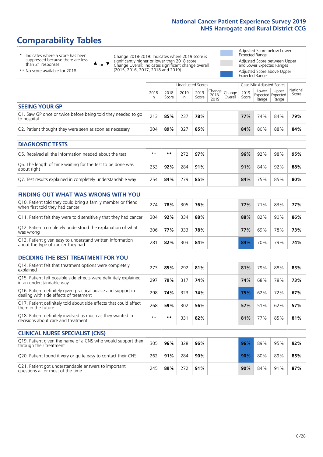# **Comparability Tables**

\* Indicates where a score has been suppressed because there are less than 21 responses.

\*\* No score available for 2018.

 $\triangle$  or  $\nabla$ 

Change 2018-2019: Indicates where 2019 score is significantly higher or lower than 2018 score Change Overall: Indicates significant change overall (2015, 2016, 2017, 2018 and 2019).

Adjusted Score below Lower Expected Range Adjusted Score between Upper and Lower Expected Ranges Adjusted Score above Upper Expected Range

|                                                                             |           |               | Unadjusted Scores |               |                                      |         |               |                | Case Mix Adjusted Scores                   |                   |  |  |
|-----------------------------------------------------------------------------|-----------|---------------|-------------------|---------------|--------------------------------------|---------|---------------|----------------|--------------------------------------------|-------------------|--|--|
|                                                                             | 2018<br>n | 2018<br>Score | 2019<br>n         | 2019<br>Score | $ Change _{Change}$<br>2018-<br>2019 | Overall | 2019<br>Score | Lower<br>Range | Upper<br><b>Expected Expected</b><br>Range | National<br>Score |  |  |
| <b>SEEING YOUR GP</b>                                                       |           |               |                   |               |                                      |         |               |                |                                            |                   |  |  |
| Q1. Saw GP once or twice before being told they needed to go<br>to hospital | 213       | 85%           | 237               | 78%           |                                      |         | <b>77%</b>    | 74%            | 84%                                        | 79%               |  |  |
| Q2. Patient thought they were seen as soon as necessary                     | 304       | 89%           | 327               | 85%           |                                      |         | 84%           | 80%            | 88%                                        | 84%               |  |  |
| <b>DIAGNOSTIC TESTS</b>                                                     |           |               |                   |               |                                      |         |               |                |                                            |                   |  |  |
| Q5. Received all the information needed about the test                      | $***$     | **            | 272               | 97%           |                                      |         | 96%           | 92%            | 98%                                        | 95%               |  |  |

| TO5. Received all the information needed about the test                   | $***$ |     |     | 97% |  | $96\%$ | 92% | 98% | 95% l |
|---------------------------------------------------------------------------|-------|-----|-----|-----|--|--------|-----|-----|-------|
| Q6. The length of time waiting for the test to be done was<br>about right | 253   | 92% | 284 | 91% |  | 91%    | 84% | 92% | 88%   |
| Q7. Test results explained in completely understandable way               | 254   | 84% | 279 | 85% |  | 84%    | 75% | 85% | 80%   |

| <b>FINDING OUT WHAT WAS WRONG WITH YOU</b> |  |  |  |  |
|--------------------------------------------|--|--|--|--|
|                                            |  |  |  |  |

| Q10. Patient told they could bring a family member or friend<br>when first told they had cancer | 274 | 78% | 305 | 76% | 77% | 71% | 83% | 77% |
|-------------------------------------------------------------------------------------------------|-----|-----|-----|-----|-----|-----|-----|-----|
| Q11. Patient felt they were told sensitively that they had cancer                               | 304 | 92% | 334 | 88% | 88% | 82% | 90% | 86% |
| Q12. Patient completely understood the explanation of what<br>was wrong                         | 306 | 77% | 333 | 78% | 77% | 69% | 78% | 73% |
| Q13. Patient given easy to understand written information<br>about the type of cancer they had  | 281 | 82% | 303 | 84% | 84% | 70% | 79% | 74% |

### **DECIDING THE BEST TREATMENT FOR YOU**

| Q14. Patient felt that treatment options were completely<br>explained                                   | 273  | 85% | 292 | 81% | 81% | 79% | 88% | 83% |
|---------------------------------------------------------------------------------------------------------|------|-----|-----|-----|-----|-----|-----|-----|
| Q15. Patient felt possible side effects were definitely explained<br>in an understandable way           | 297  | 79% | 317 | 74% | 74% | 68% | 78% | 73% |
| Q16. Patient definitely given practical advice and support in<br>dealing with side effects of treatment | 298  | 74% | 323 | 74% | 75% | 62% | 72% | 67% |
| Q17. Patient definitely told about side effects that could affect<br>them in the future                 | 268  | 59% | 302 | 56% | 57% | 51% | 62% | 57% |
| Q18. Patient definitely involved as much as they wanted in<br>decisions about care and treatment        | $**$ | **  | 33. | 82% | 81% | 77% | 85% | 81% |

| <b>CLINICAL NURSE SPECIALIST (CNS)</b>                                                    |     |     |     |     |     |     |     |     |
|-------------------------------------------------------------------------------------------|-----|-----|-----|-----|-----|-----|-----|-----|
| Q19. Patient given the name of a CNS who would support them<br>through their treatment    | 305 | 96% | 328 | 96% | 96% | 89% | 95% | 92% |
| Q20. Patient found it very or quite easy to contact their CNS                             | 262 | 91% | 284 | 90% | 90% | 80% | 89% | 85% |
| Q21. Patient got understandable answers to important<br>questions all or most of the time | 245 | 89% | 272 | 91% | 90% | 84% | 91% | 87% |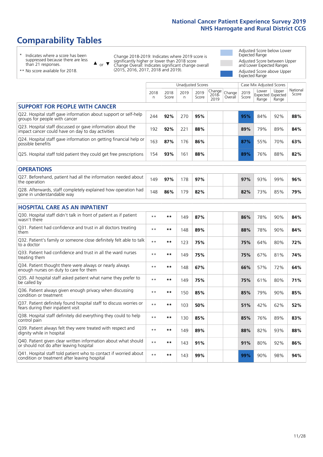# **Comparability Tables**

\* Indicates where a score has been suppressed because there are less than 21 responses.

\*\* No score available for 2018.

 $\triangle$  or  $\nabla$ 

Change 2018-2019: Indicates where 2019 score is significantly higher or lower than 2018 score Change Overall: Indicates significant change overall (2015, 2016, 2017, 2018 and 2019).

Adjusted Score below Lower Expected Range Adjusted Score between Upper and Lower Expected Ranges Adjusted Score above Upper Expected Range

|                                                                                                                   |              |               | <b>Unadjusted Scores</b> |               |                         |                   |               | Case Mix Adjusted Scores            |                |                   |
|-------------------------------------------------------------------------------------------------------------------|--------------|---------------|--------------------------|---------------|-------------------------|-------------------|---------------|-------------------------------------|----------------|-------------------|
|                                                                                                                   | 2018<br>n    | 2018<br>Score | 2019<br>n.               | 2019<br>Score | Change<br>2018-<br>2019 | Change<br>Overall | 2019<br>Score | Lower<br>Expected Expected<br>Range | Upper<br>Range | National<br>Score |
| <b>SUPPORT FOR PEOPLE WITH CANCER</b>                                                                             |              |               |                          |               |                         |                   |               |                                     |                |                   |
| Q22. Hospital staff gave information about support or self-help<br>groups for people with cancer                  | 244          | 92%           | 270                      | 95%           |                         |                   | 95%           | 84%                                 | 92%            | 88%               |
| Q23. Hospital staff discussed or gave information about the<br>impact cancer could have on day to day activities  | 192          | 92%           | 221                      | 88%           |                         |                   | 89%           | 79%                                 | 89%            | 84%               |
| Q24. Hospital staff gave information on getting financial help or<br>possible benefits                            | 163          | 87%           | 176                      | 86%           |                         |                   | 87%           | 55%                                 | 70%            | 63%               |
| Q25. Hospital staff told patient they could get free prescriptions                                                | 154          | 93%           | 161                      | 88%           |                         |                   | 89%           | 76%                                 | 88%            | 82%               |
| <b>OPERATIONS</b>                                                                                                 |              |               |                          |               |                         |                   |               |                                     |                |                   |
| Q27. Beforehand, patient had all the information needed about<br>the operation                                    | 149          | 97%           | 178                      | 97%           |                         |                   | 97%           | 93%                                 | 99%            | 96%               |
| Q28. Afterwards, staff completely explained how operation had<br>gone in understandable way                       | 148          | 86%           | 179                      | 82%           |                         |                   | 82%           | 73%                                 | 85%            | 79%               |
| <b>HOSPITAL CARE AS AN INPATIENT</b>                                                                              |              |               |                          |               |                         |                   |               |                                     |                |                   |
| Q30. Hospital staff didn't talk in front of patient as if patient<br>wasn't there                                 | $* *$        | **            | 149                      | 87%           |                         |                   | 86%           | 78%                                 | 90%            | 84%               |
| Q31. Patient had confidence and trust in all doctors treating<br>them                                             | $* *$        | $***$         | 148                      | 89%           |                         |                   | 88%           | 78%                                 | 90%            | 84%               |
| Q32. Patient's family or someone close definitely felt able to talk<br>to a doctor                                | $* *$        | $***$         | 123                      | 75%           |                         |                   | 75%           | 64%                                 | 80%            | 72%               |
| Q33. Patient had confidence and trust in all the ward nurses<br>treating them                                     | $\star\star$ | **            | 149                      | 75%           |                         |                   | 75%           | 67%                                 | 81%            | 74%               |
| Q34. Patient thought there were always or nearly always<br>enough nurses on duty to care for them                 | $* *$        | **            | 148                      | 67%           |                         |                   | 66%           | 57%                                 | 72%            | 64%               |
| Q35. All hospital staff asked patient what name they prefer to<br>be called by                                    | $* *$        | **            | 149                      | 75%           |                         |                   | 75%           | 61%                                 | 80%            | 71%               |
| Q36. Patient always given enough privacy when discussing<br>condition or treatment                                | $**$         | $***$         | 150                      | 85%           |                         |                   | 85%           | 79%                                 | 90%            | 85%               |
| Q37. Patient definitely found hospital staff to discuss worries or<br>fears during their inpatient visit          | $**$         | **            | 103                      | 50%           |                         |                   | 51%           | 42%                                 | 62%            | 52%               |
| Q38. Hospital staff definitely did everything they could to help<br>control pain                                  | $* *$        | $***$         | 130                      | 85%           |                         |                   | 85%           | 76%                                 | 89%            | 83%               |
| Q39. Patient always felt they were treated with respect and<br>dignity while in hospital                          | $***$        | **            | 149                      | 89%           |                         |                   | 88%           | 82%                                 | 93%            | 88%               |
| Q40. Patient given clear written information about what should<br>or should not do after leaving hospital         | $**$         | **            | 143                      | 91%           |                         |                   | 91%           | 80%                                 | 92%            | 86%               |
| Q41. Hospital staff told patient who to contact if worried about<br>condition or treatment after leaving hospital | $**$         | **            | 143                      | 99%           |                         |                   | 99%           | 90%                                 | 98%            | 94%               |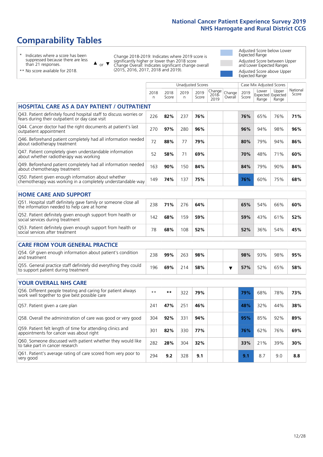# **Comparability Tables**

\* Indicates where a score has been suppressed because there are less than 21 responses.

\*\* No score available for 2018.

 $\triangle$  or  $\nabla$ 

Change 2018-2019: Indicates where 2019 score is significantly higher or lower than 2018 score Change Overall: Indicates significant change overall (2015, 2016, 2017, 2018 and 2019).

Adjusted Score below Lower Expected Range Adjusted Score between Upper and Lower Expected Ranges Adjusted Score above Upper Expected Range

|                                                                                                                       |              |               |            | <b>Unadjusted Scores</b> |                         |                   |               | Case Mix Adjusted Scores            |                |                   |
|-----------------------------------------------------------------------------------------------------------------------|--------------|---------------|------------|--------------------------|-------------------------|-------------------|---------------|-------------------------------------|----------------|-------------------|
|                                                                                                                       | 2018<br>n    | 2018<br>Score | 2019<br>n. | 2019<br>Score            | Change<br>2018-<br>2019 | Change<br>Overall | 2019<br>Score | Lower<br>Expected Expected<br>Range | Upper<br>Range | National<br>Score |
| <b>HOSPITAL CARE AS A DAY PATIENT / OUTPATIENT</b>                                                                    |              |               |            |                          |                         |                   |               |                                     |                |                   |
| Q43. Patient definitely found hospital staff to discuss worries or<br>fears during their outpatient or day case visit | 226          | 82%           | 237        | 76%                      |                         |                   | 76%           | 65%                                 | 76%            | 71%               |
| Q44. Cancer doctor had the right documents at patient's last<br>outpatient appointment                                | 270          | 97%           | 280        | 96%                      |                         |                   | 96%           | 94%                                 | 98%            | 96%               |
| Q46. Beforehand patient completely had all information needed<br>about radiotherapy treatment                         | 72           | 88%           | 77         | 79%                      |                         |                   | 80%           | 79%                                 | 94%            | 86%               |
| Q47. Patient completely given understandable information<br>about whether radiotherapy was working                    | 52           | 58%           | 71         | 69%                      |                         |                   | 70%           | 48%                                 | 71%            | 60%               |
| Q49. Beforehand patient completely had all information needed<br>about chemotherapy treatment                         | 163          | 90%           | 150        | 84%                      |                         |                   | 84%           | 79%                                 | 90%            | 84%               |
| Q50. Patient given enough information about whether<br>chemotherapy was working in a completely understandable way    | 149          | 74%           | 137        | 75%                      |                         |                   | 76%           | 60%                                 | 75%            | 68%               |
| <b>HOME CARE AND SUPPORT</b>                                                                                          |              |               |            |                          |                         |                   |               |                                     |                |                   |
| Q51. Hospital staff definitely gave family or someone close all<br>the information needed to help care at home        | 238          | 71%           | 276        | 64%                      |                         |                   | 65%           | 54%                                 | 66%            | 60%               |
| Q52. Patient definitely given enough support from health or<br>social services during treatment                       | 142          | 68%           | 159        | 59%                      |                         |                   | 59%           | 43%                                 | 61%            | 52%               |
| Q53. Patient definitely given enough support from health or<br>social services after treatment                        | 78           | 68%           | 108        | 52%                      |                         |                   | 52%           | 36%                                 | 54%            | 45%               |
| CARE FROM YOUR GENERAL PRACTICE                                                                                       |              |               |            |                          |                         |                   |               |                                     |                |                   |
| Q54. GP given enough information about patient's condition<br>and treatment                                           | 238          | 99%           | 263        | 98%                      |                         |                   | 98%           | 93%                                 | 98%            | 95%               |
| Q55. General practice staff definitely did everything they could<br>to support patient during treatment               | 196          | 69%           | 214        | 58%                      |                         | ▼                 | 57%           | 52%                                 | 65%            | 58%               |
| <b>YOUR OVERALL NHS CARE</b>                                                                                          |              |               |            |                          |                         |                   |               |                                     |                |                   |
| Q56. Different people treating and caring for patient always                                                          |              |               |            |                          |                         |                   |               |                                     |                |                   |
| work well together to give best possible care                                                                         | $\star\star$ | **            | 322        | 79%                      |                         |                   | 79%           | 68%                                 | 78%            | 73%               |
| Q57. Patient given a care plan                                                                                        | 241          | 47%           | 251        | 46%                      |                         |                   | 48%           | 32%                                 | 44%            | 38%               |
| Q58. Overall the administration of care was good or very good                                                         | 304          | 92%           | 331        | 94%                      |                         |                   | 95%           | 85%                                 | 92%            | 89%               |
| Q59. Patient felt length of time for attending clinics and<br>appointments for cancer was about right                 | 301          | 82%           | 330        | 77%                      |                         |                   | 76%           | 62%                                 | 76%            | 69%               |
| Q60. Someone discussed with patient whether they would like<br>to take part in cancer research                        | 282          | 28%           | 304        | 32%                      |                         |                   | 33%           | 21%                                 | 39%            | 30%               |
| Q61. Patient's average rating of care scored from very poor to<br>very good                                           | 294          | 9.2           | 328        | 9.1                      |                         |                   | 9.1           | 8.7                                 | 9.0            | 8.8               |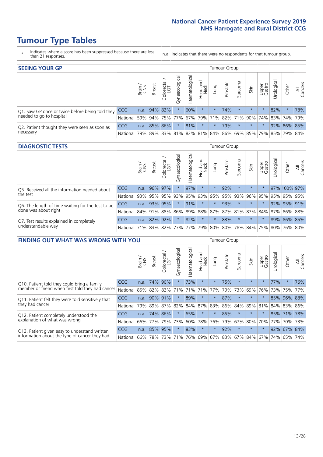# **Tumour Type Tables**

- \* Indicates where a score has been suppressed because there are less than 21 responses.
- n.a. Indicates that there were no respondents for that tumour group.

| <b>SEEING YOUR GP</b>                                      |            |       |                 |                   |                                     |                |                  |                 | Tumour Group |         |         |                 |                                                     |             |                |
|------------------------------------------------------------|------------|-------|-----------------|-------------------|-------------------------------------|----------------|------------------|-----------------|--------------|---------|---------|-----------------|-----------------------------------------------------|-------------|----------------|
|                                                            |            | Brain | <b>Breast</b>   | Colorectal<br>LGT | $\overline{\sigma}$<br>Gynaecologic | Haematological | Head and<br>Neck | Lung            | Prostate     | Sarcoma | Skin    | Upper<br>Gastro | –<br>Irologica                                      | Other       | All<br>Cancers |
| Q1. Saw GP once or twice before being told they            | <b>CCG</b> |       | $n.a.$ 94% 82%  |                   |                                     | 60%            | $\star$          | $^\star$        | 74%          |         | $\star$ | $\star$         | 82%                                                 | $\star$     | 78%            |
| needed to go to hospital                                   | National   |       | 59% 94% 75% 77% |                   |                                     |                |                  | 67% 79% 71% 82% |              |         |         |                 | 71% 90% 74% 83% 74% 79%                             |             |                |
| Q2. Patient thought they were seen as soon as<br>necessary | <b>CCG</b> | n.a.  |                 | 85% 86%           | $\star$                             | 81%            | $\star$          | $\star$         | 79%          | $\star$ | $\star$ | $\star$         |                                                     | 92% 86% 85% |                |
|                                                            | National   | 79%   |                 |                   |                                     |                |                  |                 |              |         |         |                 | 89% 83% 81% 82% 81% 84% 86% 69% 85% 79% 85% 79% 84% |             |                |

#### **DIAGNOSTIC TESTS** Tumour Group

|                                                                |                                          | Brain | <b>Breast</b> | olorectal.<br>LGT<br>$\cup$ | $\overline{\sigma}$<br>Gynaecologic | Haematologica | Head and<br>Neck | Lung                | Prostate | Sarcoma | Skin                                        | Upper<br>Gastro | Irological | Other        | All<br>Cancers |
|----------------------------------------------------------------|------------------------------------------|-------|---------------|-----------------------------|-------------------------------------|---------------|------------------|---------------------|----------|---------|---------------------------------------------|-----------------|------------|--------------|----------------|
| Q5. Received all the information needed about<br>the test      | <b>CCG</b>                               | n.a.  |               | 96% 97%                     |                                     | 97%           | $\ast$           | $\star$             | 92%      |         | $\star$                                     | $\star$         |            | 97% 100% 97% |                |
|                                                                | National                                 | 93%   |               | 95% 95%                     |                                     |               |                  | 93% 95% 93% 95% 95% |          | 93%     | 96%                                         |                 | 95% 95%    | 95% 95%      |                |
| Q6. The length of time waiting for the test to be              | <b>CCG</b>                               | n.a.  |               | 93% 95%                     | $\star$                             | 91%           | $\star$          | $\star$             | 93%      | $\star$ | $\star$                                     | $\star$         |            | $92\%$ 95%   | 91%            |
| done was about right                                           | National                                 |       |               | 84% 91% 88%                 |                                     |               |                  |                     |          |         | 86% 89% 88% 87% 87% 81% 87% 84% 87% 86% 88% |                 |            |              |                |
| Q7. Test results explained in completely<br>understandable way | <b>CCG</b>                               | n.a.  |               | 82% 92%                     | $\star$                             | 82%           | $\star$          | $\star$             | 83%      | $\star$ | $\star$                                     | $\star$         |            | 89% 86% 85%  |                |
|                                                                | National 71% 83% 82% 77% 77% 79% 80% 80% |       |               |                             |                                     |               |                  |                     |          |         | 78% 84% 75% 80% 76% 80%                     |                 |            |              |                |

| <b>FINDING OUT WHAT WAS WRONG WITH YOU</b>                                                      |            |        |               |                        |                |                |                        |                     | Tumour Group |         |         |                 |            |         |                |
|-------------------------------------------------------------------------------------------------|------------|--------|---------------|------------------------|----------------|----------------|------------------------|---------------------|--------------|---------|---------|-----------------|------------|---------|----------------|
|                                                                                                 |            | Brain  | <b>Breast</b> | olorectal.<br>LGT<br>Û | Gynaecological | Haematological | ad and<br>Neck<br>Head | Lung                | Prostate     | Sarcoma | Skin    | Upper<br>Gastro | Irological | Other   | All<br>Cancers |
| Q10. Patient told they could bring a family<br>member or friend when first told they had cancer | CCG        | n.a.   | 74%           | 90%                    |                | 73%            | $\star$                | $\star$             | 75%          | $\ast$  | $\star$ | $\star$         | 77%        | $\ast$  | 76%            |
|                                                                                                 | National   | 85%    | 82%           | 82%                    | 71%            | 71%            | 71%                    | 77%                 | 79%          | 73%     | 69%     | 76%             | 73%        | 75%     | 77%            |
| Q11. Patient felt they were told sensitively that                                               | CCG        | n.a.   | 90%           | 91%                    |                | 89%            | $\star$                | $\star$             | 87%          | $\star$ | $\star$ | $\star$         | 85%        | 96%     | 88%            |
| they had cancer                                                                                 | National   | 79%    | 89% 87%       |                        | 82%            |                | 84% 87%                | 83%                 | 86%          | 84%     |         | 89% 81%         |            | 84% 83% | 86%            |
| Q12. Patient completely understood the                                                          | CCG        | n.a.   | 74%           | 86%                    |                | 65%            | $\star$                | $\star$             | 85%          | $\star$ | $\star$ |                 |            | 85% 71% | 78%            |
| explanation of what was wrong                                                                   | National   | 66%    | 77%           | 79%                    | 73%            | 60%            | 78%                    | 76%                 | 79%          | 67%     | 80%     | 70%             | 77%        | 70%     | 73%            |
| Q13. Patient given easy to understand written                                                   | <b>CCG</b> | n.a.   | 85%           | 95%                    |                | 83%            | $\star$                | $\star$             | 92%          | $\ast$  | $\star$ | $\star$         | 92%        | 67%     | 84%            |
| information about the type of cancer they had                                                   | National   | $66\%$ | 78%           | 73%                    | 71%            | 76%            |                        | 69% 67% 83% 67% 84% |              |         |         | 67%             | 74%        | 65%     | 74%            |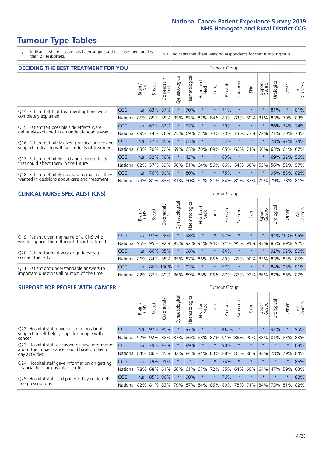# **Tumour Type Tables**

\* Indicates where a score has been suppressed because there are less than 21 responses.

n.a. Indicates that there were no respondents for that tumour group.

| <b>DECIDING THE BEST TREATMENT FOR YOU</b>                                                       |            |       |               |                             |                |                                     |                         |          | <b>Tumour Group</b> |          |         |                 |            |             |                |
|--------------------------------------------------------------------------------------------------|------------|-------|---------------|-----------------------------|----------------|-------------------------------------|-------------------------|----------|---------------------|----------|---------|-----------------|------------|-------------|----------------|
|                                                                                                  |            | Brain | <b>Breast</b> | olorectal.<br>LGT<br>$\cup$ | Gynaecological | Haematological                      | ead and<br>Neck<br>Head | Lung     | Prostate            | Sarcoma  | Skin    | Upper<br>Gastro | Jrological | Other       | All<br>Cancers |
| Q14. Patient felt that treatment options were                                                    | CCG        | n.a.  | 83%           | 87%                         | $\star$        | 70%                                 | $\star$                 | $\star$  | 71%                 | $\star$  | $\star$ | $\star$         | 81%        | $\star$     | 81%            |
| completely explained                                                                             | National   | 85%   |               | 85% 85%                     | 85%            | 82%                                 | 87%                     | 84%      | 83%                 | 83%      | 89%     | 81%             | 83% 79%    |             | 83%            |
| Q15. Patient felt possible side effects were                                                     | <b>CCG</b> | n.a.  |               | 67% 83%                     | $\star$        | 67%                                 | $\ast$                  | $^\star$ | 70%                 | 大        |         | $\star$         |            | 86% 74%     | 74%            |
| definitely explained in an understandable way                                                    | National   | 69%   | 74%           | 76%                         | 75%            | 69%                                 | 73%                     | 74%      | 73%                 | 73%      | 77%     | 72%             | 71%        | 70%         | 73%            |
| Q16. Patient definitely given practical advice and                                               | CCG        | n.a.  | 77%           | 85%                         | $\star$        | 65%                                 | $\star$                 | $\star$  | 57%                 | $\star$  | $\star$ | $\star$         |            | 78% 92%     | 74%            |
| support in dealing with side effects of treatment                                                | National   | 63%   | 70%           | 70%                         | 69%            | 65%                                 | 70%                     | 69%      | 65%                 | 66%      | 71%     | 66%             |            | 63% 64%     | 67%            |
| Q17. Patient definitely told about side effects                                                  | CCG        | n.a.  | 52%           | 76%                         | $\star$        | 43%                                 | $\ast$                  | $\star$  | 63%                 | $\star$  |         | $\star$         |            | 69% 32%     | 56%            |
| that could affect them in the future                                                             | National   | 62%   | 57%           | 59%                         | 56%            | 51%                                 | 64%                     | 56%      | 66%                 | 54%      | 66%     | 53%             |            | 56% 52%     | 57%            |
| Q18. Patient definitely involved as much as they<br>wanted in decisions about care and treatment | CCG        | n.a.  | 76%           | 90%                         | $\star$        | 80%                                 | $\star$                 | $\star$  | 75%                 | $^\star$ | $\star$ | $\star$         |            | 95% 83% 82% |                |
|                                                                                                  | National   | 79%   |               |                             |                | 81% 83% 81% 80% 81% 81% 84% 81% 87% |                         |          |                     |          |         | 79%             | 79%        | 78% 81%     |                |

### **CLINICAL NURSE SPECIALIST (CNS)** Tumour Group

|                                             |            | Brain           | <b>Breast</b>   | Colorectal<br>LGT | Gynaecologica | శా<br>aematologi | Head and<br>Neck | Lung    | Prostate | Sarcoma | Skin    | Upper<br>Gastro                               | rological | Other        | All<br>Cancers |
|---------------------------------------------|------------|-----------------|-----------------|-------------------|---------------|------------------|------------------|---------|----------|---------|---------|-----------------------------------------------|-----------|--------------|----------------|
| Q19. Patient given the name of a CNS who    | <b>CCG</b> | n.a.            | 97% 98%         |                   |               | 98%              | $\star$          |         | 92%      | $\star$ | $\star$ | $\star$                                       |           | 94% 100% 96% |                |
| would support them through their treatment  | National   | 95%             | 95%             | 92%               | 95%           | 92%              | 91%              |         | 94% 91%  | 91%     | 91%     | 93%                                           | 85%       | 89%          | 92%            |
| Q20. Patient found it very or quite easy to | CCG        | n.a.            | 86% 95%         |                   |               | 98%              | $\star$          | $\star$ | 84%      |         | $\star$ | $\star$                                       | 92%       | 92%          | 90%            |
| contact their CNS                           | National   |                 | 86% 84% 88% 85% |                   |               | 87%              | 86%              | 86% 80% |          |         |         | 86% 90% 85%                                   |           | 83% 83%      | 85%            |
| Q21. Patient got understandable answers to  | CCG        | n.a.            |                 | 86% 100%          |               | 93%              | $\star$          | $\star$ | 97%      | $\star$ | $\star$ | $\star$                                       |           | 84% 95%      | 91%            |
| important questions all or most of the time | National   | 82% 87% 89% 86% |                 |                   |               |                  |                  |         |          |         |         | 89%   88%   86%   87%   87%   93%   86%   87% |           | 86%          | 87%            |

| <b>SUPPORT FOR PEOPLE WITH CANCER</b>                                                               |            |       |               |            |                |                |                         |          | <b>Tumour Group</b> |         |         |                 |            |          |                |
|-----------------------------------------------------------------------------------------------------|------------|-------|---------------|------------|----------------|----------------|-------------------------|----------|---------------------|---------|---------|-----------------|------------|----------|----------------|
|                                                                                                     |            | Brain | <b>Breast</b> | Colorectal | Gynaecological | Haematological | ead and<br>Neck<br>Head | Lung     | Prostate            | Sarcoma | Skin    | Upper<br>Gastro | Irological | Other    | All<br>Cancers |
| Q22. Hospital staff gave information about<br>support or self-help groups for people with<br>cancer | CCG        | n.a.  | 97%           | 95%        | $\star$        | 97%            | $\star$                 | $^\star$ | 100%                | $\star$ | $\star$ | $\star$         | 92%        | $\star$  | 95%            |
|                                                                                                     | National   | 92%   | 92%           | 88%        | 87%            | 86%            | 88%                     | 87%      | 91%                 | 86%     | 90%     | 88%             | 81%        | 83%      | 88%            |
| Q23. Hospital staff discussed or gave information<br>about the impact cancer could have on day to   | CCG        | n.a.  | 79%           | 97%        | $\star$        | 89%            | $\star$                 | $\star$  | 90%                 | $\star$ | $\star$ | $\star$         | $\star$    | $\star$  | 88%            |
| day activities                                                                                      | National   | 84%   | 86%           | 85%        | 82%            | 84%            | 84%                     | 83%      | 88%                 | 81%     | 86%     | 83%             | 78%        | 79%      | 84%            |
| Q24. Hospital staff gave information on getting                                                     | CCG        | n.a.  |               | 79% 91%    | $\star$        | $\star$        | $\star$                 | $^\star$ | 74%                 | $\star$ | $\star$ | $\star$         | $\star$    | $^\star$ | 86%            |
| financial help or possible benefits                                                                 | National   | 78%   |               | 68% 61%    | 66%            | 61%            | 67%                     | 72%      | 55%                 | 64%     | 60%     | 64%             | 47%        | 59%      | 63%            |
| Q25. Hospital staff told patient they could get                                                     | <b>CCG</b> | n.a.  | 85% 96%       |            | $\star$        | 90%            | $\star$                 | $\star$  | 76%                 | $\star$ | $\star$ | $\star$         | $\star$    | $\ast$   | 88%            |
| free prescriptions                                                                                  | National I | 82%   | 81% 83%       |            | 79%            |                |                         |          | 87% 84% 86% 80%     | 78%     | 71%     | 84%             | 73%        | 81%      | 82%            |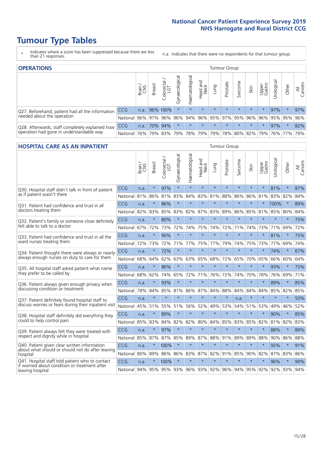# **Tumour Type Tables**

- \* Indicates where a score has been suppressed because there are less than 21 responses.
- n.a. Indicates that there were no respondents for that tumour group.

| <b>OPERATIONS</b>                                | Tumour Group |       |               |                   |                                     |                |                  |         |          |         |                                         |                 |           |         |                |
|--------------------------------------------------|--------------|-------|---------------|-------------------|-------------------------------------|----------------|------------------|---------|----------|---------|-----------------------------------------|-----------------|-----------|---------|----------------|
|                                                  |              | Brain | <b>Breast</b> | Colorectal<br>LGT | $\overline{\sigma}$<br>Gynaecologic | Haematological | Head and<br>Neck | Lung    | Prostate | Sarcoma | Skin                                    | Upper<br>Gastro | Irologica | Other   | All<br>Cancers |
| Q27. Beforehand, patient had all the information | <b>CCG</b>   | n.a.  |               | 96% 100%          | $\star$                             | $\star$        | $\star$          | $\star$ | $\star$  | $\star$ | $\star$                                 | $\star$         | 97%       | $\star$ | 97%            |
| needed about the operation                       | National     | 96%   | 97%           | 96%               | 96%                                 |                |                  |         |          |         | 94% 96% 95% 97% 95% 96%                 | 96%             | 95% 95%   |         | 96%            |
| Q28. Afterwards, staff completely explained how  | <b>CCG</b>   | n.a.  |               | 70% 94%           | $\star$                             | $\star$        | $\star$          | $\star$ | $\star$  | $\star$ | $\star$                                 | $\star$         | 97%       | $\star$ | 82%            |
| operation had gone in understandable way         | National I   | 76%   |               | 79% 83%           |                                     |                |                  |         |          |         | 79% 78% 79% 79% 78% 80% 82% 79% 76% 77% |                 |           |         | 79%            |

#### **HOSPITAL CARE AS AN INPATIENT** Tumour Group

|                                                                                                  |          | Brain | Breast  | $\overline{\phantom{0}}$<br>Colorectal /<br>LGT | Gynaecological | Haematological      | Head and<br><b>Neck</b> | Lung    | Prostate | Sarcoma | Skin            | Upper<br>Gastro | Urological | Other   | All<br>Cancers |
|--------------------------------------------------------------------------------------------------|----------|-------|---------|-------------------------------------------------|----------------|---------------------|-------------------------|---------|----------|---------|-----------------|-----------------|------------|---------|----------------|
| Q30. Hospital staff didn't talk in front of patient                                              | CCG      | n.a.  | $\star$ | 97%                                             | $\star$        | $\star$             | $\star$                 | $\star$ | $\star$  | $\star$ | $\star$         | $\star$         | 81%        | $\star$ | 87%            |
| as if patient wasn't there                                                                       | National | 81%   | 86%     | 81%                                             | 83%            | 84%                 | 83%                     | 81%     | 88%      | 86%     | 86%             | 81%             | 83%        | 82%     | 84%            |
| Q31. Patient had confidence and trust in all                                                     | CCG      | n.a.  | $\star$ | 86%                                             | $\star$        | $\star$             | $\star$                 | $\star$ | $\star$  | $\star$ | $\star$         |                 | 100%       | $\star$ | 89%            |
| doctors treating them                                                                            | National | 82%   | 83%     | 85%                                             | 83%            | 82%                 |                         | 87% 83% | 89%      | 86%     | 85%             | 81%             | 85%        | 80%     | 84%            |
| Q32. Patient's family or someone close definitely                                                | CCG      | n.a.  | $\star$ | 80%                                             | $\star$        | $\star$             | $\star$                 | $\star$ | $\star$  | $\star$ | $\star$         | $\star$         | $\star$    | $\star$ | 75%            |
| felt able to talk to a doctor                                                                    | National | 67%   | 72%     | 73%                                             | 72%            | 74%                 | 75%                     | 74%     | 72%      | 71%     | 74%             | 73%             | 71%        | 69%     | 72%            |
| Q33. Patient had confidence and trust in all the                                                 | CCG      | n.a.  | $\star$ | 90%                                             | $\star$        | $\star$             | $\star$                 | $\star$ | $\star$  | $\star$ | $\star$         | $\star$         | 81%        | $\star$ | 75%            |
| ward nurses treating them                                                                        | National | 72%   | 73%     | 72%                                             | 71%            | 77%                 | 75%                     | 77%     | 79%      | 74%     | 75%             | 73%             | 77%        | 69%     | 74%            |
| Q34. Patient thought there were always or nearly                                                 | CCG      | n.a.  | $\star$ | 72%                                             | $\star$        | $\star$             | $\star$                 | $\star$ | $\star$  | $\star$ | $\star$         | $\star$         | 74%        | $\star$ | 67%            |
| always enough nurses on duty to care for them                                                    | National | 68%   | 64%     | 62%                                             | 63%            | 63%                 | 65%                     | 68%     | 72%      | 65%     | 70%             | 65%             | 66%        | 60%     | 64%            |
| Q35. All hospital staff asked patient what name                                                  | CCG      | n.a.  | $\star$ | 86%                                             | $\star$        | $\star$             | $\star$                 | $\star$ | $\star$  | $\star$ | $\star$         | $\star$         | 93%        | $\star$ | 75%            |
| they prefer to be called by                                                                      | National | 68%   | 62%     | 74%                                             | 65%            | 72%                 |                         | 71% 76% | 72%      | 74%     | 70%             | 78%             | 76%        | 69%     | 71%            |
| Q36. Patient always given enough privacy when                                                    | CCG      | n.a.  | $\star$ | 93%                                             | $\star$        | $\star$             | $\star$                 | $\star$ | $\star$  | $\star$ | $\star$         | $\star$         | 89%        | $\star$ | 85%            |
| discussing condition or treatment                                                                | National | 78%   | 84%     | 85%                                             | 81%            | 86%                 |                         | 87% 84% | 88%      | 84%     | 84%             | 84%             | 85%        | 82%     | 85%            |
| Q37. Patient definitely found hospital staff to                                                  | CCG      | n.a.  | $\star$ | $\star$                                         | $\star$        | $\star$             | $\star$                 | $\star$ | $\star$  | n.a.    | $\star$         | $\star$         | $\star$    | $\star$ | 50%            |
| discuss worries or fears during their inpatient visit                                            | National | 45%   | 51%     | 55%                                             | 51%            | 56%                 | 52%                     | 49%     | 53%      | 54%     | 51%             | 53%             | 49%        | 46%     | 52%            |
| Q38. Hospital staff definitely did everything they                                               | CCG      | n.a.  | $\star$ | 89%                                             | $\star$        | $\star$             | $\star$                 | $\star$ | $\star$  | $\star$ | $\star$         | $\star$         | 90%        | $\star$ | 85%            |
| could to help control pain                                                                       | National | 85%   | 83%     | 84%                                             | 82%            | 82%                 | 80%                     | 84%     | 85%      | 83%     | 85%             | 82%             | 81%        | 82%     | 83%            |
| Q39. Patient always felt they were treated with                                                  | CCG      | n.a.  | $\star$ | 97%                                             | $\star$        | $\star$             | $\star$                 | $\star$ | $\star$  | $\star$ | $\star$         | $\star$         | 88%        | $\star$ | 89%            |
| respect and dignity while in hospital                                                            | National | 85%   | 87%     | 87%                                             | 85%            | 89%                 | 87%                     | 88%     | 91%      | 89%     | 89%             | 88%             | 90%        | 86%     | 88%            |
| Q40. Patient given clear written information<br>about what should or should not do after leaving | CCG      | n.a.  | $\star$ | 100%                                            | $\star$        | $\star$             | $\star$                 | $\star$ | $\star$  | $\star$ | $\star$         | $\star$         | 92%        | $\star$ | 91%            |
| hospital                                                                                         | National | 80%   | 89%     | 86%                                             | 86%            | 83%                 |                         | 87% 82% | 91%      | 85%     | 90%             | 82%             | 87%        | 83%     | 86%            |
| Q41. Hospital staff told patient who to contact<br>if worried about condition or treatment after | CCG      | n.a.  | $\star$ | 100%                                            | $\star$        | $\star$             | $\star$                 | $\star$ | $\star$  | $\star$ | $\star$         | $\star$         | 96%        | $\star$ | 99%            |
| leaving hospital                                                                                 | National | 94%   | 95%     |                                                 |                | 95% 93% 96% 93% 92% |                         |         |          |         | 96% 94% 95% 92% |                 |            | 92% 93% | 94%            |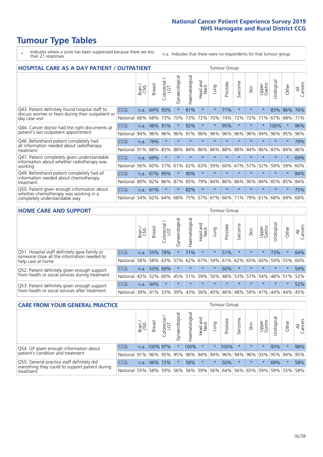# **Tumour Type Tables**

- \* Indicates where a score has been suppressed because there are less than 21 responses.
- n.a. Indicates that there were no respondents for that tumour group.

| <b>HOSPITAL CARE AS A DAY PATIENT / OUTPATIENT</b>                     |            |       |               |                              |                |                |                         |         |          | <b>Tumour Group</b> |         |                 |            |         |                |  |  |  |
|------------------------------------------------------------------------|------------|-------|---------------|------------------------------|----------------|----------------|-------------------------|---------|----------|---------------------|---------|-----------------|------------|---------|----------------|--|--|--|
|                                                                        |            | Brain | <b>Breast</b> | ╮<br>olorectal /<br>LGT<br>Ũ | Gynaecological | Haematological | ead and<br>Neck<br>Head | Lung    | Prostate | Sarcoma             | Skin    | Upper<br>Gastro | Urological | Other   | All<br>Cancers |  |  |  |
| Q43. Patient definitely found hospital staff to                        | CCG        | n.a.  | 64%           | 93%                          | $\star$        | 81%            | $\star$                 | $\star$ | 71%      | $\star$             | $\star$ | $\star$         | 83%        | 86%     | 76%            |  |  |  |
| discuss worries or fears during their outpatient or<br>day case visit  | National   | 66%   | 68%           | 73%                          | 70%            | 73%            | 72%                     | 70%     | 74%      | 72%                 | 72%     | 71%             | 67%        | 68%     | 71%            |  |  |  |
| Q44. Cancer doctor had the right documents at                          | <b>CCG</b> | n.a.  | 98%           | 91%                          |                | 92%            | $\star$                 | $\star$ | 95%      | $\star$             |         |                 | 100%       | $\star$ | 96%            |  |  |  |
| patient's last outpatient appointment                                  | National   | 94%   | 96%           | 96%                          | 96%            | 97%            | 96%                     | 96%     | 96%      | 96%                 | 96%     | 94%             | 96%        | 95%     | 96%            |  |  |  |
| Q46. Beforehand patient completely had                                 | CCG        | n.a.  | 79%           | $\star$                      |                | $\star$        | $\star$                 | $\star$ | $\star$  | $\star$             |         | $\star$         | $\star$    | $\star$ | 79%            |  |  |  |
| all information needed about radiotherapy<br>treatment                 | National   | 91%   | 88%           | 83%                          | 88%            | 84%            | 86%                     | 86%     | 88%      | 88%                 | 84%     | 86%             | 83%        | 84%     | 86%            |  |  |  |
| Q47. Patient completely given understandable                           | <b>CCG</b> | n.a.  | 69%           | $\star$                      |                |                | $\star$                 | $\star$ | $\star$  | $\star$             | $\star$ |                 | $\star$    | $\star$ | 69%            |  |  |  |
| information about whether radiotherapy was<br>working                  | National   | 56%   | 60%           | 57%                          | 61%            | 62%            | 63%                     | 59%     | 60%      | 67%                 | 57%     | 52%             | 59%        | 59%     | 60%            |  |  |  |
| Q49. Beforehand patient completely had all                             | CCG        | n.a.  | 67%           | 95%                          | $\star$        | 90%            | $\star$                 | $\star$ | $\star$  | $\star$             | $\star$ | $\star$         | $\star$    | $\star$ | 84%            |  |  |  |
| information needed about chemotherapy<br>treatment                     | National   | 80%   | 82%           | 86%                          | 87%            | 85%            | 79%                     | 84%     | 86%      | 86%                 | 90%     | 84%             | 85%        | 85%     | 84%            |  |  |  |
| Q50. Patient given enough information about                            | <b>CCG</b> | n.a.  | 61%           | $\star$                      | $\star$        | 82%            | $\star$                 | $\star$ | $\star$  | $\star$             |         |                 |            | $\star$ | 75%            |  |  |  |
| whether chemotherapy was working in a<br>completely understandable way | National   | 54%   | 62%           | 64%                          | 68%            | 75%            |                         | 57% 67% | 66%      | 71%                 | 79%     | 61%             | 68%        | 69%     | 68%            |  |  |  |

#### **HOME CARE AND SUPPORT** Tumour Group

|                                                                                              |            | Brain | <b>Breast</b> | Colorectal<br>LGT | ᢛ<br>Gynaecologic | Haematological | ad and<br>Neck<br>Head | <b>Dung</b> | Prostate | Sarcoma | Skin    | Upper<br>Gastro | Urological  | Other   | All<br>Cancers |
|----------------------------------------------------------------------------------------------|------------|-------|---------------|-------------------|-------------------|----------------|------------------------|-------------|----------|---------|---------|-----------------|-------------|---------|----------------|
| Q51. Hospital staff definitely gave family or<br>someone close all the information needed to | <b>CCG</b> | n.a.  | 55%           | 79%               |                   | 71%            | $\ast$                 | $\star$     | 51%      | $\star$ | $\star$ | $\star$         | 73%         | $\star$ | 64%            |
| help care at home                                                                            | National   | 58%   | 58%           | 63%               | 57%               | 62%            | 67%                    | 59%         | 61%      |         | 62% 65% | 60%             | 59%         | 55%     | 60%            |
| Q52. Patient definitely given enough support                                                 | <b>CCG</b> | n.a.  |               | 53% 69%           | $\star$           | $\star$        | $\star$                | $\star$     | 50%      | $\star$ | $\star$ | $\star$         | $\star$     | $\star$ | 59%            |
| from health or social services during treatment                                              | National   | 42%   | 52%           | 60%               |                   | 45% 51%        | 59%                    | 50%         | 48%      |         | 53% 57% |                 | 54% 48% 51% |         | 52%            |
| Q53. Patient definitely given enough support                                                 | <b>CCG</b> | n.a.  | 44%           |                   | $\star$           | $\star$        | $\star$                | $\star$     | $\star$  | $\star$ | $\star$ | $\star$         | $\star$     | $\star$ | 52%            |
| from health or social services after treatment                                               | National   | 39%   |               | 41% 53%           | 39%               | 43%            | 56%                    | 40%         | 46%      |         | 48% 59% | 47%             | 44%         | 44%     | 45%            |

| <b>CARE FROM YOUR GENERAL PRACTICE</b>                                       | <b>Tumour Group</b> |        |               |                        |               |                |                  |         |                             |         |                     |                 |                |             |                |
|------------------------------------------------------------------------------|---------------------|--------|---------------|------------------------|---------------|----------------|------------------|---------|-----------------------------|---------|---------------------|-----------------|----------------|-------------|----------------|
|                                                                              |                     | Brain, | <b>Breast</b> | ╮<br>Colorectal<br>LGT | Gynaecologica | Haematological | Head and<br>Neck | Lung    | Prostate                    | Sarcoma | Skin                | Upper<br>Gastro | Φ<br>Urologica | Other       | All<br>Cancers |
| CCG<br>Q54. GP given enough information about                                |                     | n.a.   | 100% 97%      |                        |               | 100%           | $\star$          | $\star$ | 100%                        |         | $\star$             | $\star$         | 93%            |             | 98%            |
| patient's condition and treatment<br>National 91%                            |                     |        |               |                        | 96% 95% 95%   |                | 96% 94% 94%      |         | 96%                         |         | 94% 96% 93% 95% 94% |                 |                |             | 95%            |
| Q55. General practice staff definitely did<br><b>CCG</b>                     |                     | n.a.   | 46%           | 72%                    |               | 58%            | $\star$          | $\star$ | 50%                         | $\star$ | $\star$             |                 | 69%            | $\star$     | 58%            |
| everything they could to support patient during<br>National 55%<br>treatment |                     |        |               |                        | 58% 59% 56%   |                |                  |         | 56% 59% 56% 64% 56% 65% 59% |         |                     |                 |                | 59% 55% 58% |                |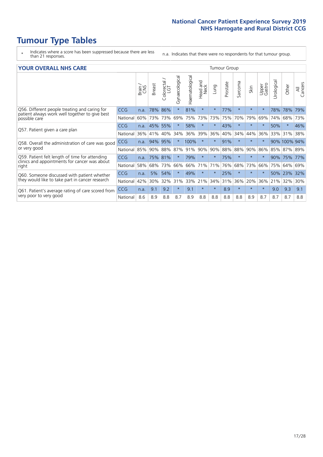# **Tumour Type Tables**

- \* Indicates where a score has been suppressed because there are less than 21 responses.
- n.a. Indicates that there were no respondents for that tumour group.

| <b>YOUR OVERALL NHS CARE</b> |  |  |  |  |
|------------------------------|--|--|--|--|
|------------------------------|--|--|--|--|

| <b>YOUR OVERALL NHS CARE</b>                                                                    |            |       |               |                        |                |                |                  | <b>Tumour Group</b> |          |         |         |                 |           |              |                |  |  |
|-------------------------------------------------------------------------------------------------|------------|-------|---------------|------------------------|----------------|----------------|------------------|---------------------|----------|---------|---------|-----------------|-----------|--------------|----------------|--|--|
|                                                                                                 |            | Brain | <b>Breast</b> | olorectal.<br>LGT<br>Ū | Gynaecological | Haematological | Head and<br>Neck | Lung                | Prostate | Sarcoma | Skin    | Upper<br>Gastro | Urologica | Other        | All<br>Cancers |  |  |
| Q56. Different people treating and caring for<br>patient always work well together to give best | <b>CCG</b> | n.a.  | 78%           | 86%                    | $\star$        | 81%            | $\star$          | $\star$             | 77%      | $\star$ | $\star$ |                 | 78%       | 78%          | 79%            |  |  |
| possible care                                                                                   | National   | 60%   | 73%           | 73%                    | 69%            | 75%            | 73%              | 73%                 | 75%      | 70%     | 79%     | 69%             | 74%       | 68%          | 73%            |  |  |
|                                                                                                 | <b>CCG</b> | n.a.  | 45%           | 55%                    |                | 58%            | $\star$          | $\star$             | 43%      | $\star$ | $\star$ |                 | 50%       | $^\star$     | 46%            |  |  |
| Q57. Patient given a care plan                                                                  | National   | 36%   | 41%           | 40%                    | 34%            | 36%            | 39%              | 36%                 | 40%      | 34%     | 44%     | 36%             |           | 33% 31%      | 38%            |  |  |
| Q58. Overall the administration of care was good                                                | CCG        | n.a.  | 94%           | 95%                    |                | 100%           | $\ast$           | $\star$             | 91%      | $\star$ | $\ast$  |                 |           | 90% 100% 94% |                |  |  |
| or very good                                                                                    | National   | 85%   | 90%           | 88%                    | 87%            | 91%            | 90%              | 90%                 | 88%      | 88%     | 90%     | 86%             | 85%       | 87%          | 89%            |  |  |
| Q59. Patient felt length of time for attending                                                  | <b>CCG</b> | n.a.  | 75%           | 81%                    |                | 79%            | $\star$          | $\star$             | 75%      | $\star$ | $\star$ |                 | 90%       | 75%          | 77%            |  |  |
| clinics and appointments for cancer was about<br>right                                          | National   | 58%   | 68%           | 73%                    | 66%            | 66%            | 71%              | 71%                 | 76%      | 68%     | 73%     | 66%             | 75%       | 64%          | 69%            |  |  |
| Q60. Someone discussed with patient whether                                                     | CCG        | n.a.  | 5%            | 54%                    |                | 49%            | $\ast$           | $\star$             | 25%      | $\star$ | $\star$ | $\star$         | 50%       | 23%          | 32%            |  |  |
| they would like to take part in cancer research                                                 | National   | 42%   | 30%           | 32%                    | 31%            | 33%            | 21%              | 34%                 | 31%      | 36%     | 20%     | 36%             | 21%       | 32%          | 30%            |  |  |
| Q61. Patient's average rating of care scored from                                               | <b>CCG</b> | n.a.  | 9.1           | 9.2                    | $\star$        | 9.1            | $\star$          | $\star$             | 8.9      | $\star$ | $\star$ | $\star$         | 9.0       | 9.3          | 9.1            |  |  |
| very poor to very good                                                                          | National   | 8.6   | 8.9           | 8.8                    | 8.7            | 8.9            | 8.8              | 8.8                 | 8.8      | 8.8     | 8.9     | 8.7             | 8.7       | 8.7          | 8.8            |  |  |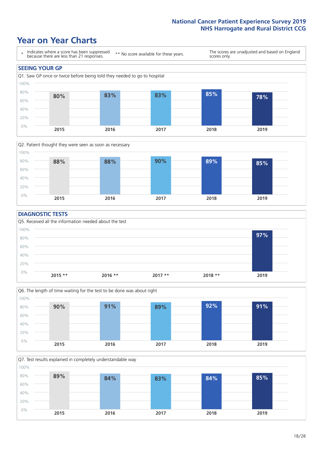### **Year on Year Charts**





### **DIAGNOSTIC TESTS**





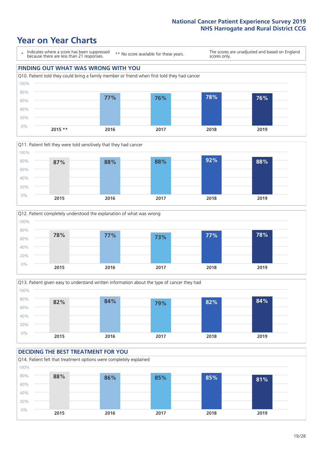







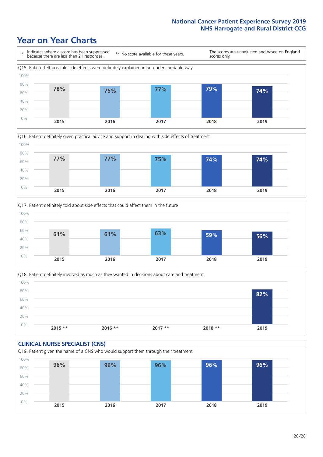





Q18. Patient definitely involved as much as they wanted in decisions about care and treatment  $0%$ 20% 40% 60% 80% 100% **2015 \*\* 2016 \*\* 2017 \*\* 2018 \*\* 2019 82%**

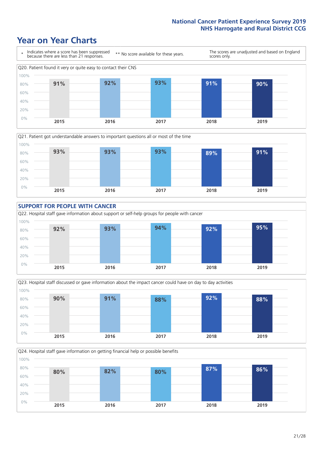







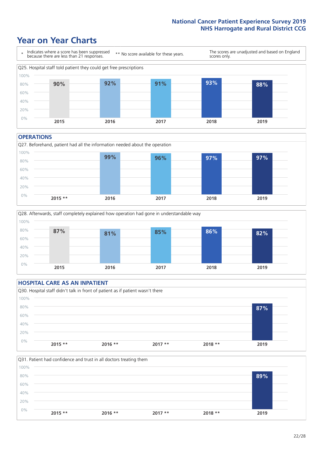### **Year on Year Charts**



#### **OPERATIONS**

Q27. Beforehand, patient had all the information needed about the operation  $0%$ 20% 40% 60% 80% 100% **2015 \*\* 2016 2017 2018 2019 99% 96% 97% 97%**



### **HOSPITAL CARE AS AN INPATIENT** Q30. Hospital staff didn't talk in front of patient as if patient wasn't there 0% 20% 40% 60% 80% 100% **2015 \*\* 2016 \*\* 2017 \*\* 2018 \*\* 2019 87%**

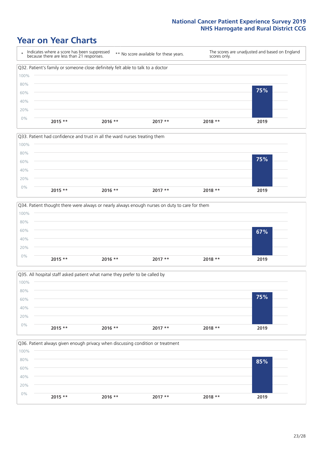







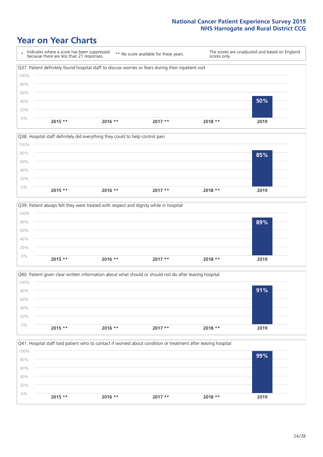







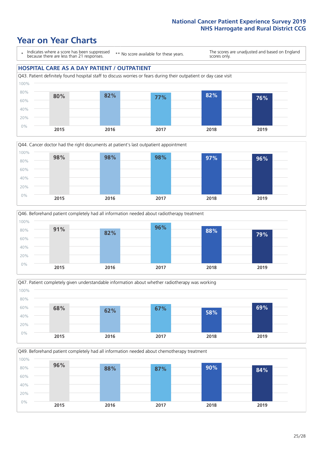







Q49. Beforehand patient completely had all information needed about chemotherapy treatment 0% 20% 40% 60% 80% 100% **2015 2016 2017 2018 2019 96% 88% 87% 90% 84%**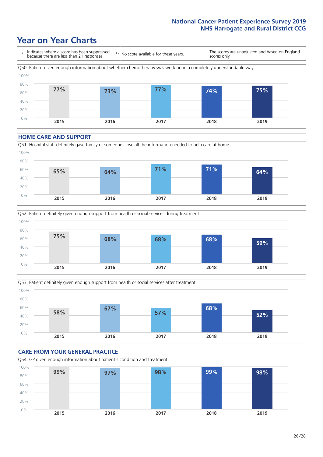### **Year on Year Charts**



#### **HOME CARE AND SUPPORT**







#### **CARE FROM YOUR GENERAL PRACTICE** Q54. GP given enough information about patient's condition and treatment 60% 80% 100% **99% 97% 98% 99% 98%**

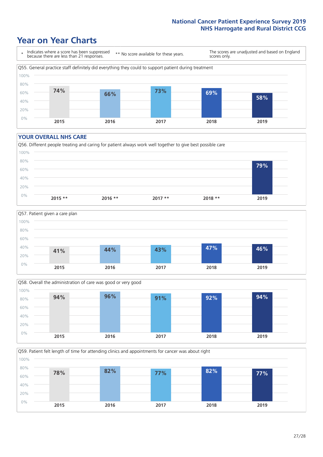### **Year on Year Charts**



#### **YOUR OVERALL NHS CARE**







Q59. Patient felt length of time for attending clinics and appointments for cancer was about right 0% 20% 40% 60% 80% 100% **2015 2016 2017 2018 2019 78% 82% 77% 82% 77%**